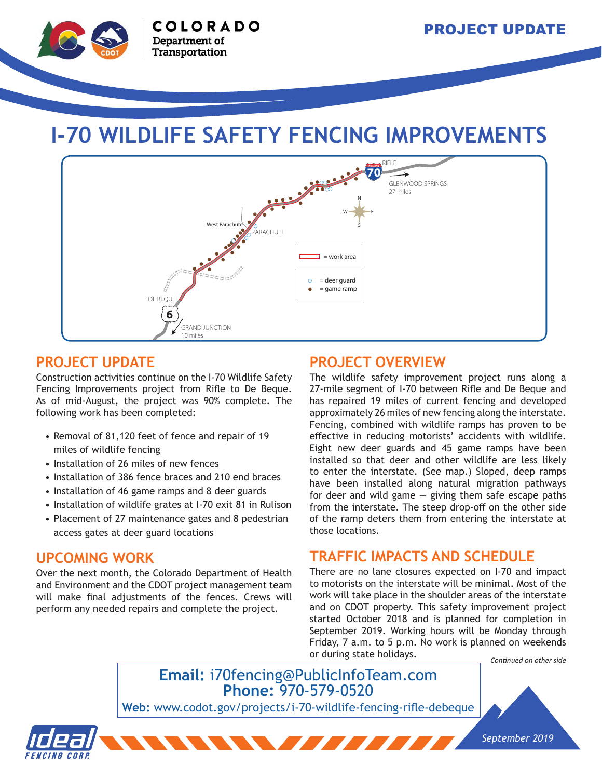

# **I-70 WILDLIFE SAFETY FENCING IMPROVEMENTS**



#### **PROJECT UPDATE**

Construction activities continue on the I-70 Wildlife Safety Fencing Improvements project from Rifle to De Beque. As of mid-August, the project was 90% complete. The following work has been completed:

- Removal of 81,120 feet of fence and repair of 19 miles of wildlife fencing
- Installation of 26 miles of new fences
- Installation of 386 fence braces and 210 end braces
- Installation of 46 game ramps and 8 deer guards
- Installation of wildlife grates at I-70 exit 81 in Rulison
- Placement of 27 maintenance gates and 8 pedestrian access gates at deer guard locations

#### **UPCOMING WORK**

Over the next month, the Colorado Department of Health and Environment and the CDOT project management team will make final adjustments of the fences. Crews will perform any needed repairs and complete the project.

#### **PROJECT OVERVIEW**

The wildlife safety improvement project runs along a 27-mile segment of I-70 between Rifle and De Beque and has repaired 19 miles of current fencing and developed approximately 26 miles of new fencing along the interstate. Fencing, combined with wildlife ramps has proven to be effective in reducing motorists' accidents with wildlife. Eight new deer guards and 45 game ramps have been installed so that deer and other wildlife are less likely to enter the interstate. (See map.) Sloped, deep ramps have been installed along natural migration pathways for deer and wild game  $-$  giving them safe escape paths from the interstate. The steep drop-off on the other side of the ramp deters them from entering the interstate at those locations.

#### **TRAFFIC IMPACTS AND SCHEDULE**

*Continued on other side* There are no lane closures expected on I-70 and impact to motorists on the interstate will be minimal. Most of the work will take place in the shoulder areas of the interstate and on CDOT property. This safety improvement project started October 2018 and is planned for completion in September 2019. Working hours will be Monday through Friday, 7 a.m. to 5 p.m. No work is planned on weekends or during state holidays.

## **Email:** i70fencing@PublicInfoTeam.com **Phone:** 970-579-0520

 $\sim$   $\sim$   $\sim$   $\sim$   $\sim$   $\sim$   $\sim$   $\sim$ 

**Web:** www.codot.gov/projects/i-70-wildlife-fencing-rifle-debeque



*September 2019*